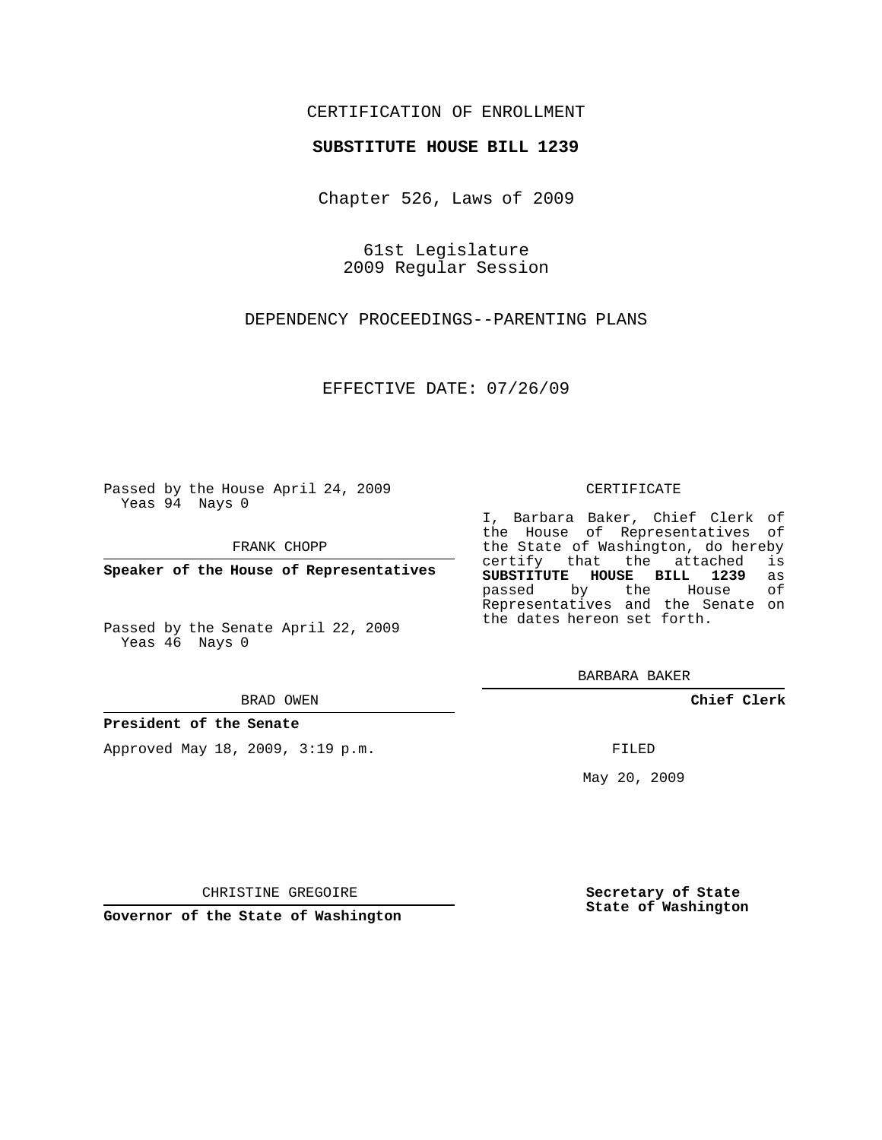# CERTIFICATION OF ENROLLMENT

## **SUBSTITUTE HOUSE BILL 1239**

Chapter 526, Laws of 2009

61st Legislature 2009 Regular Session

DEPENDENCY PROCEEDINGS--PARENTING PLANS

EFFECTIVE DATE: 07/26/09

Passed by the House April 24, 2009 Yeas 94 Nays 0

FRANK CHOPP

**Speaker of the House of Representatives**

Passed by the Senate April 22, 2009 Yeas 46 Nays 0

#### BRAD OWEN

## **President of the Senate**

Approved May 18, 2009, 3:19 p.m.

#### CERTIFICATE

I, Barbara Baker, Chief Clerk of the House of Representatives of the State of Washington, do hereby<br>certify that the attached is certify that the attached **SUBSTITUTE HOUSE BILL 1239** as passed by the House of Representatives and the Senate on the dates hereon set forth.

BARBARA BAKER

**Chief Clerk**

FILED

May 20, 2009

**Secretary of State State of Washington**

CHRISTINE GREGOIRE

**Governor of the State of Washington**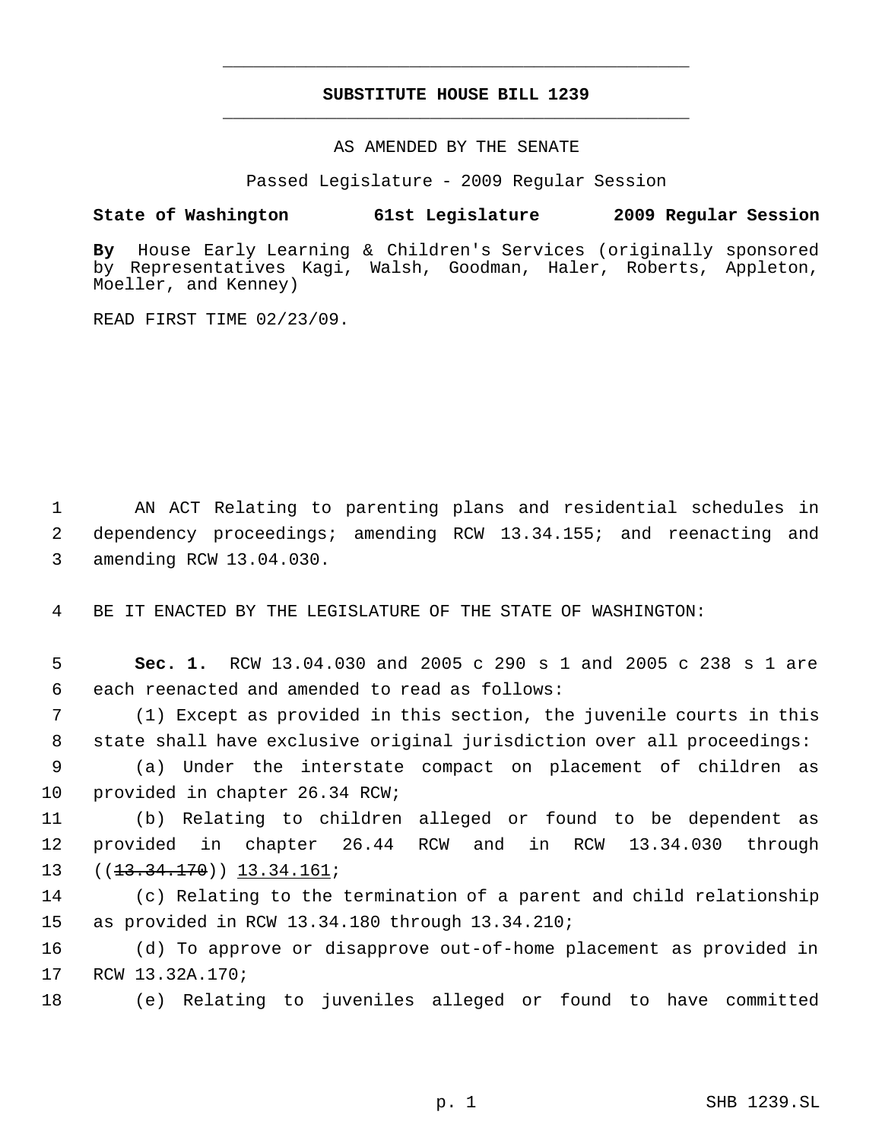# **SUBSTITUTE HOUSE BILL 1239** \_\_\_\_\_\_\_\_\_\_\_\_\_\_\_\_\_\_\_\_\_\_\_\_\_\_\_\_\_\_\_\_\_\_\_\_\_\_\_\_\_\_\_\_\_

\_\_\_\_\_\_\_\_\_\_\_\_\_\_\_\_\_\_\_\_\_\_\_\_\_\_\_\_\_\_\_\_\_\_\_\_\_\_\_\_\_\_\_\_\_

AS AMENDED BY THE SENATE

Passed Legislature - 2009 Regular Session

## **State of Washington 61st Legislature 2009 Regular Session**

**By** House Early Learning & Children's Services (originally sponsored by Representatives Kagi, Walsh, Goodman, Haler, Roberts, Appleton, Moeller, and Kenney)

READ FIRST TIME 02/23/09.

 1 AN ACT Relating to parenting plans and residential schedules in 2 dependency proceedings; amending RCW 13.34.155; and reenacting and 3 amending RCW 13.04.030.

4 BE IT ENACTED BY THE LEGISLATURE OF THE STATE OF WASHINGTON:

 5 **Sec. 1.** RCW 13.04.030 and 2005 c 290 s 1 and 2005 c 238 s 1 are 6 each reenacted and amended to read as follows:

 7 (1) Except as provided in this section, the juvenile courts in this 8 state shall have exclusive original jurisdiction over all proceedings:

 9 (a) Under the interstate compact on placement of children as 10 provided in chapter 26.34 RCW;

11 (b) Relating to children alleged or found to be dependent as 12 provided in chapter 26.44 RCW and in RCW 13.34.030 through 13 ((<del>13.34.170</del>)) <u>13.34.161</u>;

14 (c) Relating to the termination of a parent and child relationship 15 as provided in RCW 13.34.180 through 13.34.210;

16 (d) To approve or disapprove out-of-home placement as provided in 17 RCW 13.32A.170;

18 (e) Relating to juveniles alleged or found to have committed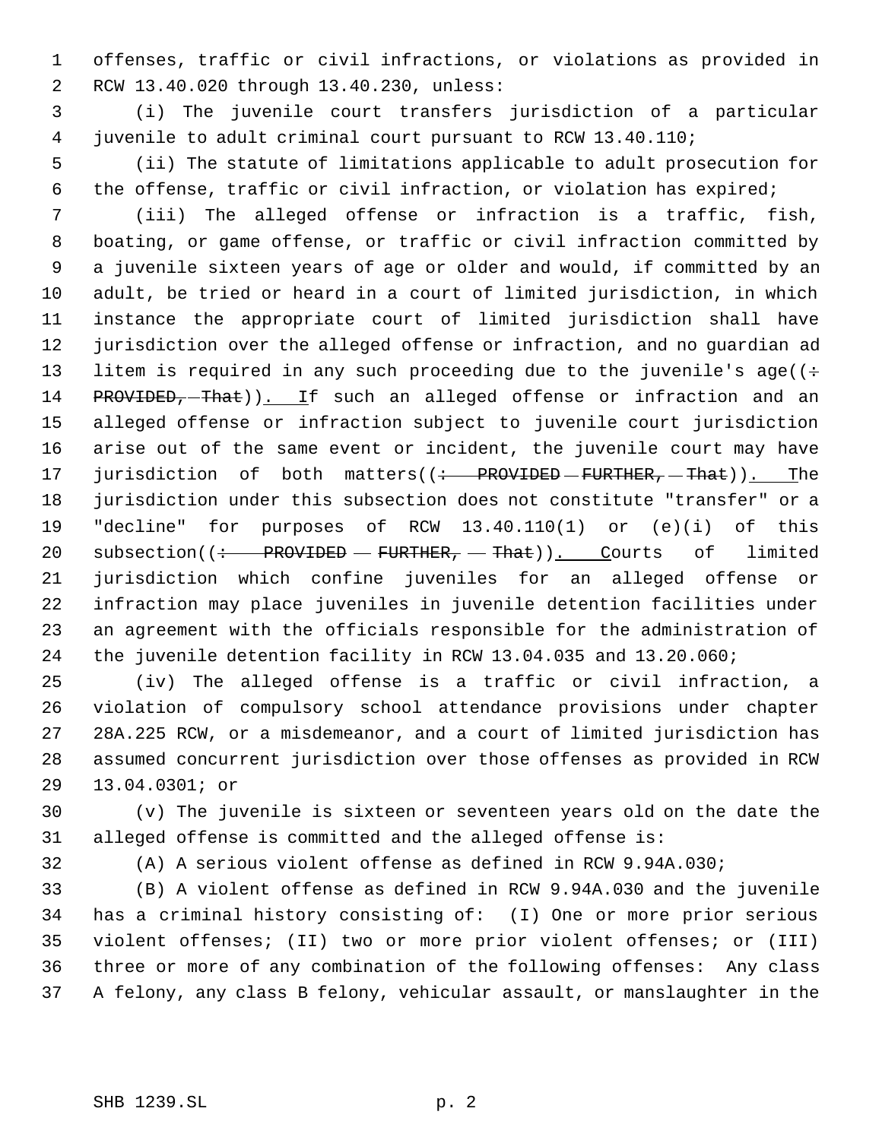offenses, traffic or civil infractions, or violations as provided in RCW 13.40.020 through 13.40.230, unless:

 (i) The juvenile court transfers jurisdiction of a particular juvenile to adult criminal court pursuant to RCW 13.40.110;

 (ii) The statute of limitations applicable to adult prosecution for the offense, traffic or civil infraction, or violation has expired;

 (iii) The alleged offense or infraction is a traffic, fish, boating, or game offense, or traffic or civil infraction committed by a juvenile sixteen years of age or older and would, if committed by an adult, be tried or heard in a court of limited jurisdiction, in which instance the appropriate court of limited jurisdiction shall have jurisdiction over the alleged offense or infraction, and no guardian ad 13 litem is required in any such proceeding due to the juvenile's age( $(+)$ 14 PROVIDED, That)). If such an alleged offense or infraction and an alleged offense or infraction subject to juvenile court jurisdiction arise out of the same event or incident, the juvenile court may have 17 jurisdiction of both matters((: PROVIDED - FURTHER, - That)). The jurisdiction under this subsection does not constitute "transfer" or a "decline" for purposes of RCW 13.40.110(1) or (e)(i) of this 20 subsection( $\frac{+}{+}$  PROVIDED – FURTHER, – That)). Courts of limited jurisdiction which confine juveniles for an alleged offense or infraction may place juveniles in juvenile detention facilities under an agreement with the officials responsible for the administration of the juvenile detention facility in RCW 13.04.035 and 13.20.060;

 (iv) The alleged offense is a traffic or civil infraction, a violation of compulsory school attendance provisions under chapter 28A.225 RCW, or a misdemeanor, and a court of limited jurisdiction has assumed concurrent jurisdiction over those offenses as provided in RCW 13.04.0301; or

 (v) The juvenile is sixteen or seventeen years old on the date the alleged offense is committed and the alleged offense is:

(A) A serious violent offense as defined in RCW 9.94A.030;

 (B) A violent offense as defined in RCW 9.94A.030 and the juvenile has a criminal history consisting of: (I) One or more prior serious violent offenses; (II) two or more prior violent offenses; or (III) three or more of any combination of the following offenses: Any class A felony, any class B felony, vehicular assault, or manslaughter in the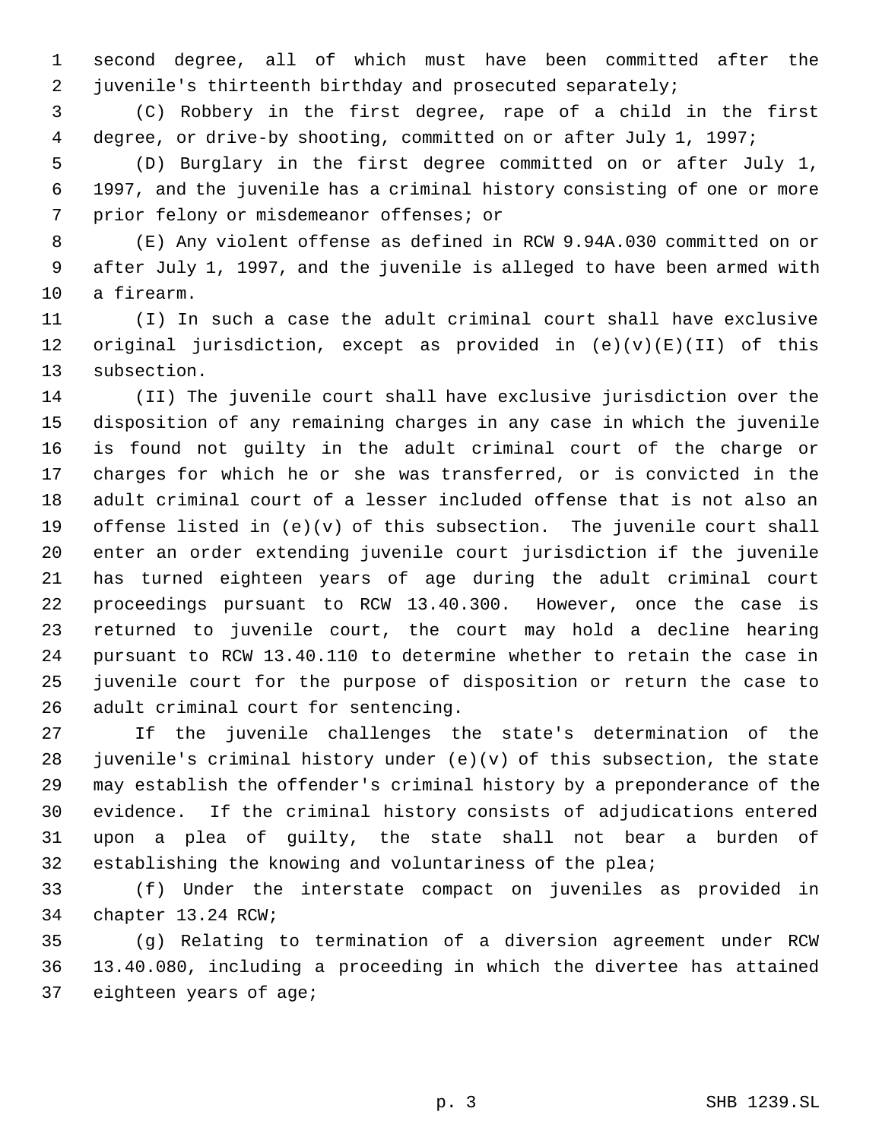second degree, all of which must have been committed after the juvenile's thirteenth birthday and prosecuted separately;

 (C) Robbery in the first degree, rape of a child in the first degree, or drive-by shooting, committed on or after July 1, 1997;

 (D) Burglary in the first degree committed on or after July 1, 1997, and the juvenile has a criminal history consisting of one or more prior felony or misdemeanor offenses; or

 (E) Any violent offense as defined in RCW 9.94A.030 committed on or after July 1, 1997, and the juvenile is alleged to have been armed with a firearm.

 (I) In such a case the adult criminal court shall have exclusive 12 original jurisdiction, except as provided in  $(e)(v)(E)(II)$  of this subsection.

 (II) The juvenile court shall have exclusive jurisdiction over the disposition of any remaining charges in any case in which the juvenile is found not guilty in the adult criminal court of the charge or charges for which he or she was transferred, or is convicted in the adult criminal court of a lesser included offense that is not also an 19 offense listed in  $(e)(v)$  of this subsection. The juvenile court shall enter an order extending juvenile court jurisdiction if the juvenile has turned eighteen years of age during the adult criminal court proceedings pursuant to RCW 13.40.300. However, once the case is returned to juvenile court, the court may hold a decline hearing pursuant to RCW 13.40.110 to determine whether to retain the case in juvenile court for the purpose of disposition or return the case to adult criminal court for sentencing.

 If the juvenile challenges the state's determination of the 28 juvenile's criminal history under  $(e)(v)$  of this subsection, the state may establish the offender's criminal history by a preponderance of the evidence. If the criminal history consists of adjudications entered upon a plea of guilty, the state shall not bear a burden of establishing the knowing and voluntariness of the plea;

 (f) Under the interstate compact on juveniles as provided in chapter 13.24 RCW;

 (g) Relating to termination of a diversion agreement under RCW 13.40.080, including a proceeding in which the divertee has attained eighteen years of age;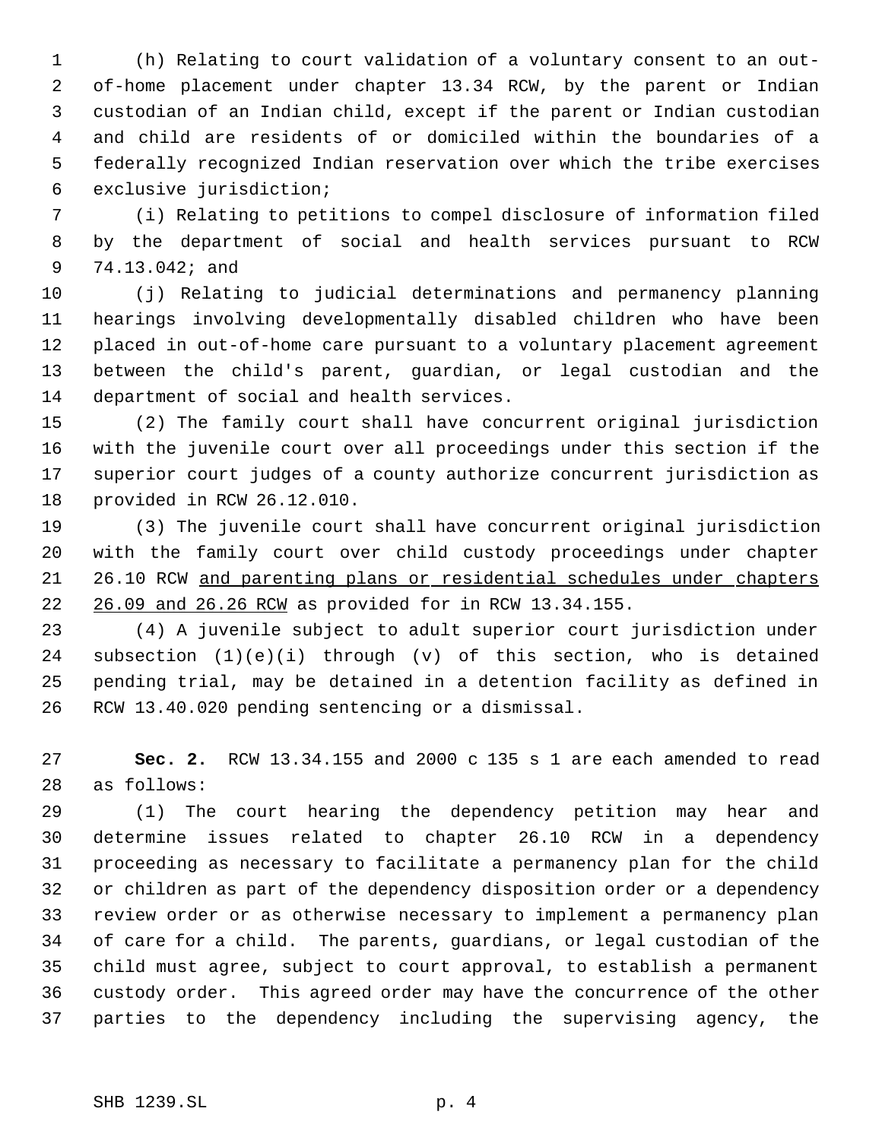(h) Relating to court validation of a voluntary consent to an out- of-home placement under chapter 13.34 RCW, by the parent or Indian custodian of an Indian child, except if the parent or Indian custodian and child are residents of or domiciled within the boundaries of a federally recognized Indian reservation over which the tribe exercises exclusive jurisdiction;

 (i) Relating to petitions to compel disclosure of information filed by the department of social and health services pursuant to RCW 74.13.042; and

 (j) Relating to judicial determinations and permanency planning hearings involving developmentally disabled children who have been placed in out-of-home care pursuant to a voluntary placement agreement between the child's parent, guardian, or legal custodian and the department of social and health services.

 (2) The family court shall have concurrent original jurisdiction with the juvenile court over all proceedings under this section if the superior court judges of a county authorize concurrent jurisdiction as provided in RCW 26.12.010.

 (3) The juvenile court shall have concurrent original jurisdiction with the family court over child custody proceedings under chapter 26.10 RCW and parenting plans or residential schedules under chapters 26.09 and 26.26 RCW as provided for in RCW 13.34.155.

 (4) A juvenile subject to adult superior court jurisdiction under subsection (1)(e)(i) through (v) of this section, who is detained pending trial, may be detained in a detention facility as defined in RCW 13.40.020 pending sentencing or a dismissal.

 **Sec. 2.** RCW 13.34.155 and 2000 c 135 s 1 are each amended to read as follows:

 (1) The court hearing the dependency petition may hear and determine issues related to chapter 26.10 RCW in a dependency proceeding as necessary to facilitate a permanency plan for the child or children as part of the dependency disposition order or a dependency review order or as otherwise necessary to implement a permanency plan of care for a child. The parents, guardians, or legal custodian of the child must agree, subject to court approval, to establish a permanent custody order. This agreed order may have the concurrence of the other parties to the dependency including the supervising agency, the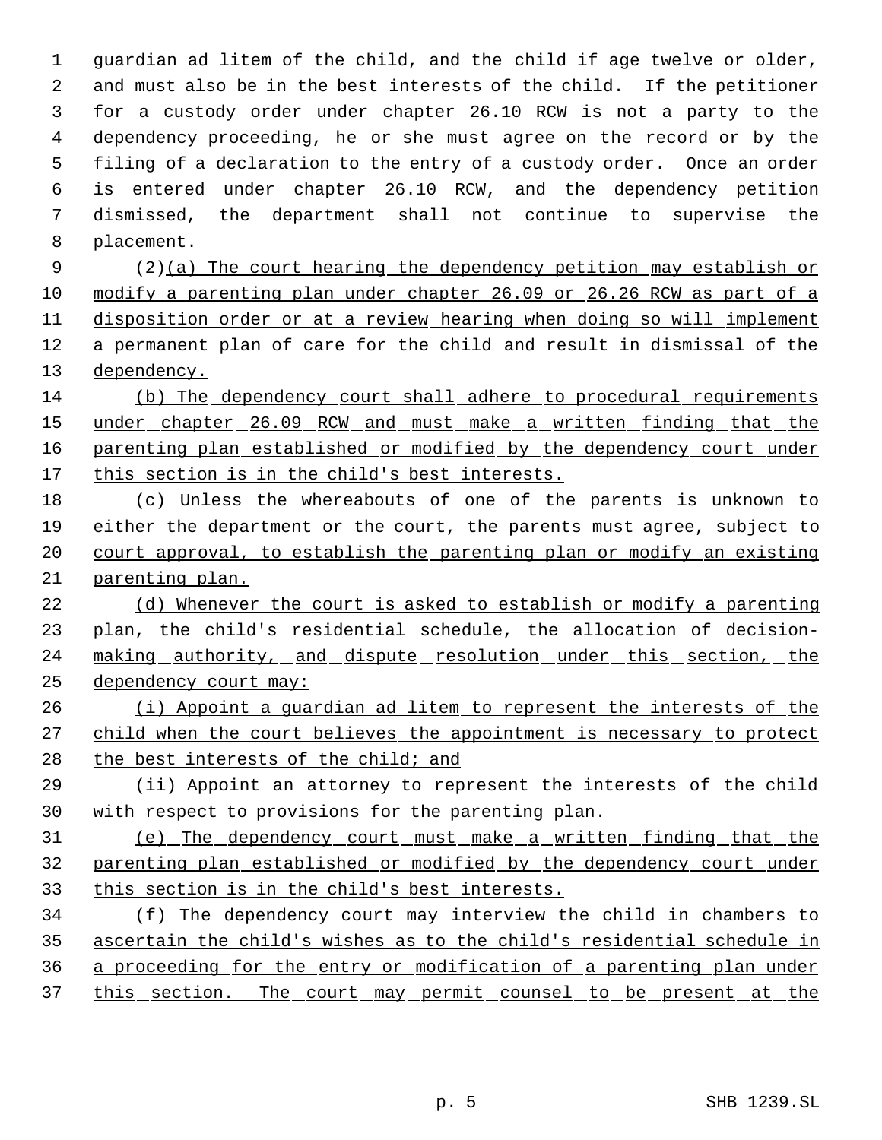guardian ad litem of the child, and the child if age twelve or older, and must also be in the best interests of the child. If the petitioner for a custody order under chapter 26.10 RCW is not a party to the dependency proceeding, he or she must agree on the record or by the filing of a declaration to the entry of a custody order. Once an order is entered under chapter 26.10 RCW, and the dependency petition dismissed, the department shall not continue to supervise the placement.

 (2)(a) The court hearing the dependency petition may establish or modify a parenting plan under chapter 26.09 or 26.26 RCW as part of a disposition order or at a review hearing when doing so will implement a permanent plan of care for the child and result in dismissal of the dependency.

 (b) The dependency court shall adhere to procedural requirements 15 under chapter 26.09 RCW and must make a written finding that the 16 parenting plan established or modified by the dependency court under 17 this section is in the child's best interests.

 (c) Unless the whereabouts of one of the parents is unknown to either the department or the court, the parents must agree, subject to court approval, to establish the parenting plan or modify an existing parenting plan.

 (d) Whenever the court is asked to establish or modify a parenting plan, the child's residential schedule, the allocation of decision-24 making authority, and dispute resolution under this section, the dependency court may:

 (i) Appoint a guardian ad litem to represent the interests of the 27 child when the court believes the appointment is necessary to protect 28 the best interests of the child; and

 (ii) Appoint an attorney to represent the interests of the child with respect to provisions for the parenting plan.

 (e) The dependency court must make a written finding that the parenting plan established or modified by the dependency court under this section is in the child's best interests.

 (f) The dependency court may interview the child in chambers to ascertain the child's wishes as to the child's residential schedule in a proceeding for the entry or modification of a parenting plan under 37 this section. The court may permit counsel to be present at the